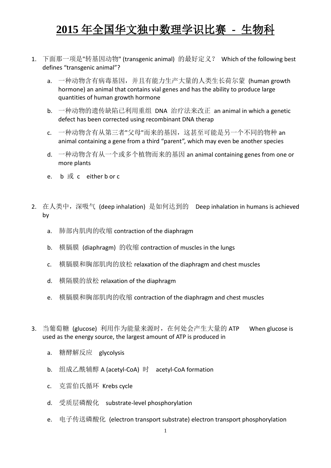## **2015** 年全国华文独中数理学识比赛 **-** 生物科

- 1. 下面那一项是"转基因动物" (transgenic animal) 的最好定义? Which of the following best defines "transgenic animal"?
	- a. 一种动物含有病毒基因, 并且有能力生产大量的人类生长荷尔蒙 (human growth hormone) an animal that contains vial genes and has the ability to produce large quantities of human growth hormone
	- b. 一种动物的遗传缺陷已利用重组 DNA 治疗法来改正 an animal in which a genetic defect has been corrected using recombinant DNA therap
	- c. 一种动物含有从第三者"父母"而来的基因,这甚至可能是另一个不同的物种 an animal containing a gene from a third "parent", which may even be another species
	- d. 一种动物含有从一个或多个植物而来的基因 an animal containing genes from one or more plants
	- e. b 或 c either b or c
- 2. 在人类中,深吸气 (deep inhalation) 是如何达到的 Deep inhalation in humans is achieved by
	- a. 肺部内肌肉的收缩 contraction of the diaphragm
	- b. 横膈膜 (diaphragm) 的收缩 contraction of muscles in the lungs
	- c. 横膈膜和胸部肌肉的放松 relaxation of the diaphragm and chest muscles
	- d. 横隔膜的放松 relaxation of the diaphragm
	- e. 横膈膜和胸部肌肉的收缩 contraction of the diaphragm and chest muscles
- 3. 当葡萄糖 (glucose) 利用作为能量来源时, 在何处会产生大量的 ATP When glucose is used as the energy source, the largest amount of ATP is produced in
	- a. 糖酵解反应 glycolysis
	- b. 组成乙酰辅醇 A (acetyl-CoA) 时 acetyl-CoA formation
	- c. 克雷伯氏循环 Krebs cycle
	- d. 受质层磷酸化 substrate-level phosphorylation
	- e. 电子传送磷酸化 (electron transport substrate) electron transport phosphorylation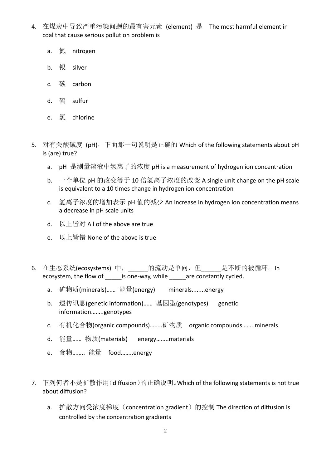- 4. 在煤炭中导致严重污染问题的最有害元素 (element) 是 The most harmful element in coal that cause serious pollution problem is
	- a. 氮 nitrogen
	- b. 银 silver
	- c. 碳 carbon
	- d. 硫 sulfur
	- e. 氯 chlorine
- 5. 对有关酸碱度 (pH), 下面那一句说明是正确的 Which of the following statements about pH is (are) true?
	- a. pH 是测量溶液中氢离子的浓度 pH is a measurement of hydrogen ion concentration
	- b. 一个单位 pH 的改变等于 10 倍氢离子浓度的改变 A single unit change on the pH scale is equivalent to a 10 times change in hydrogen ion concentration
	- c. 氢离子浓度的增加表示 pH 值的减少 An increase in hydrogen ion concentration means a decrease in pH scale units
	- d. 以上皆对 All of the above are true
	- e. 以上皆错 None of the above is true
- 6. 在生态系统(ecosystems) 中, \_\_\_\_\_\_的流动是单向, 但\_\_\_\_\_\_是不断的被循环。In ecosystem, the flow of is one-way, while are constantly cycled.
	- a. 矿物质(minerals)…… 能量(energy) minerals........energy
	- b. 遗传讯息(genetic information)…… 基因型(genotypes) genetic information……..genotypes
	- c. 有机化合物(organic compounds)……..矿物质 organic compounds……..minerals
	- d. 能量…… 物质(materials) energy……..materials
	- e. 食物…….. 能量 food……..energy
- 7. 下列何者不是扩散作用(diffusion)的正确说明。Which of the following statements is not true about diffusion?
	- a. 扩散方向受浓度梯度 (concentration gradient) 的控制 The direction of diffusion is controlled by the concentration gradients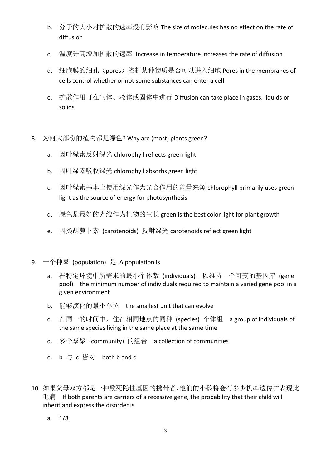- b. 分子的大小对扩散的速率没有影响 The size of molecules has no effect on the rate of diffusion
- c. 温度升高增加扩散的速率 Increase in temperature increases the rate of diffusion
- d. 细胞膜的细孔(pores)控制某种物质是否可以进入细胞 Pores in the membranes of cells control whether or not some substances can enter a cell
- e. 扩散作用可在气体、液体或固体中进行 Diffusion can take place in gases, liquids or solids
- 8. 为何大部份的植物都是绿色? Why are (most) plants green?
	- a. 因叶绿素反射绿光 chlorophyll reflects green light
	- b. 因叶绿素吸收绿光 chlorophyll absorbs green light
	- c. 因叶绿素基本上使用绿光作为光合作用的能量来源 chlorophyll primarily uses green light as the source of energy for photosynthesis
	- d. 绿色是最好的光线作为植物的生长 green is the best color light for plant growth
	- e. 因类胡萝卜素 (carotenoids) 反射绿光 carotenoids reflect green light
- 9. 一个种羣 (population) 是 A population is
	- a. 在特定环境中所需求的最小个体数 (individuals),以维持一个可变的基因库 (gene pool) the minimum number of individuals required to maintain a varied gene pool in a given environment
	- b. 能够演化的最小单位 the smallest unit that can evolve
	- c. 在同一的时间中,住在相同地点的同种 (species) 个体组 a group of individuals of the same species living in the same place at the same time
	- d. 多个羣聚 (community) 的组合 a collection of communities
	- e. b 与 c 皆对 both b and c
- 10. 如果父母双方都是一种致死隐性基因的携带者,他们的小孩将会有多少机率遗传并表现此 毛病 If both parents are carriers of a recessive gene, the probability that their child will inherit and express the disorder is
	- a. 1/8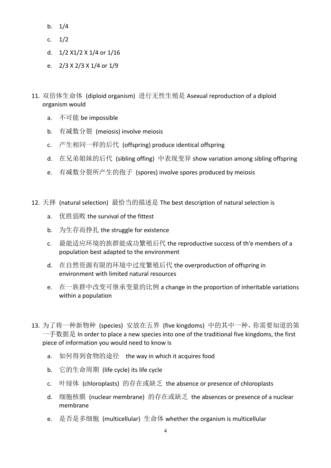- b. 1/4
- c. 1/2
- d. 1/2 X1/2 X 1/4 or 1/16
- e. 2/3 X 2/3 X 1/4 or 1/9
- 11. 双倍体生命体 (diploid organism) 进行无性生殖是 Asexual reproduction of a diploid organism would
	- a. 不可能 be impossible
	- b. 有减数分裂 (meiosis) involve meiosis
	- c. 产生相同一样的后代 (offspring) produce identical offspring
	- d. 在兄弟姐妹的后代 (sibling offing) 中表现变异 show variation among sibling offspring
	- e. 有减数分裂所产生的孢子 (spores) involve spores produced by meiosis
- 12. 天择 (natural selection) 最恰当的描述是 The best description of natural selection is
	- a. 优胜弱败 the survival of the fittest
	- b. 为生存而挣扎 the struggle for existence
	- c. 最能适应环境的族群能成功繁殖后代 the reproductive success of th'e members of a population best adapted to the environment
	- d. 在自然资源有限的环境中过度繁殖后代 the overproduction of offspring in environment with limited natural resources
	- e. 在一族群中改变可继承变量的比例 a change in the proportion of inheritable variations within a population
- 13. 为了将一种新物种 (species) 安放在五界 (five kingdoms) 中的其中一种,你需要知道的第 一手数据是 In order to place a new species into one of the traditional five kingdoms, the first piece of information you would need to know is
	- a. 如何得到食物的途径 the way in which it acquires food
	- b. 它的生命周期 (life cycle) its life cycle
	- c. 叶绿体 (chloroplasts) 的存在或缺乏 the absence or presence of chloroplasts
	- d. 细胞核膜 (nuclear membrane) 的存在或缺乏 the absences or presence of a nuclear membrane
	- e. 是否是多细胞 (multicellular) 生命体 whether the organism is multicellular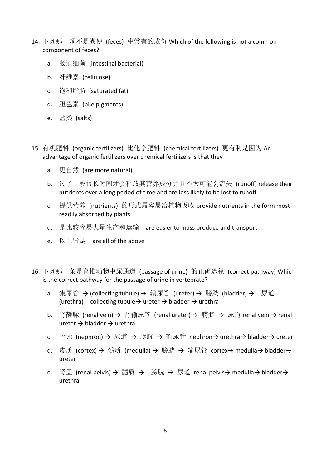- 14. 下列那一项不是粪便 (feces) 中常有的成份 Which of the following is not a common component of feces?
	- a. 肠道细菌 (intestinal bacterial)
	- b. 纤维素 (cellulose)
	- c. 饱和脂肪 (saturated fat)
	- d. 胆色素 (bile pigments)
	- e. 盐类 (salts)
- 15. 有机肥料 (organic fertilizers) 比化学肥料 (chemical fertilizers) 更有利是因为 An advantage of organic fertilizers over chemical fertilizers is that they
	- a. 更自然 (are more natural)
	- b. 过了一段很长时间才会释放其营养成分并且不太可能会流失 (runoff) release their nutrients over a long period of time and are less likely to be lost to runoff
	- c. 提供营养 (nutrients) 的形式最容易给植物吸收 provide nutrients in the form most readily absorbed by plants
	- d. 是比较容易大量生产和运输 are easier to mass produce and transport
	- e. 以上皆是 are all of the above
- 16. 下列那一条是脊椎动物中尿通道 (passage of urine) 的正确途径 (correct pathway) Which is the correct pathway for the passage of urine in vertebrate?
	- a. 集尿管 → (collecting tubule) → 输尿管 (ureter) → 膀胱 (bladder) → 尿道 (urethra) collecting tubule  $\rightarrow$  ureter  $\rightarrow$  bladder  $\rightarrow$  urethra
	- b. 肾静脉 (renal vein) → 肾输尿管 (renal ureter) → 膀胱 → 尿道 renal vein → renal ureter  $\rightarrow$  bladder  $\rightarrow$  urethra
	- c. 肾元 (nephron) → 尿道 → 膀胱 → 输尿管 nephron→ urethra→ bladder→ ureter
	- d. 皮质 (cortex) → 髓质 (medulla) → 膀胱 → 输尿管 cortex→ medulla→ bladder→ ureter
	- e. 肾盂 (renal pelvis) → 髓质 → 膀胱 → 尿道 renal pelvis→ medulla→ bladder→ urethra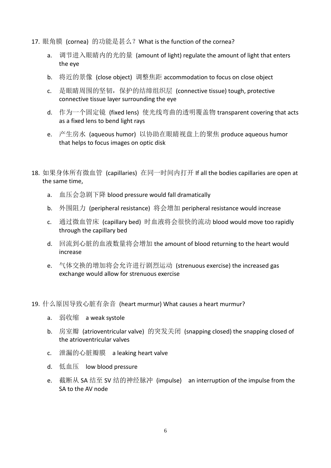- 17. 眼角膜 (cornea) 的功能是甚么?What is the function of the cornea?
	- a. 调节进入眼睛内的光的量 (amount of light) regulate the amount of light that enters the eye
	- b. 将近的景像 (close object) 调整焦距 accommodation to focus on close object
	- c. 是眼睛周围的坚韧,保护的结缔组织层 (connective tissue) tough, protective connective tissue layer surrounding the eye
	- d. 作为一个固定镜 (fixed lens) 使光线弯曲的透明覆盖物 transparent covering that acts as a fixed lens to bend light rays
	- e. 产生房水 (aqueous humor) 以协助在眼睛视盘上的聚焦 produce aqueous humor that helps to focus images on optic disk
- 18. 如果身体所有微血管 (capillaries) 在同一时间内打开 If all the bodies capillaries are open at the same time,
	- a. 血压会急剧下降 blood pressure would fall dramatically
	- b. 外围阻力 (peripheral resistance) 将会增加 peripheral resistance would increase
	- c. 通过微血管床 (capillary bed) 时血液将会很快的流动 blood would move too rapidly through the capillary bed
	- d. 回流到心脏的血液数量将会增加 the amount of blood returning to the heart would increase
	- e. 气体交换的增加将会允许进行剧烈运动 (strenuous exercise) the increased gas exchange would allow for strenuous exercise
- 19. 什么厡因导致心脏有杂音 (heart murmur) What causes a heart murmur?
	- a. 弱收缩 a weak systole
	- b. 房室瓣 (atrioventricular valve) 的突发关闭 (snapping closed) the snapping closed of the atrioventricular valves
	- c. 泄漏的心脏瓣膜 a leaking heart valve
	- d. 低血压 low blood pressure
	- e. 截断从 SA 结至 SV 结的神经脉冲 (impulse) an interruption of the impulse from the SA to the AV node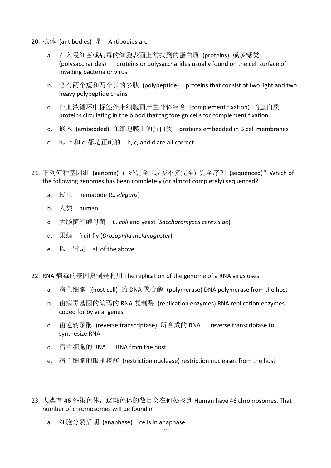- 20. 抗体 (antibodies) 是 Antibodies are
	- a. 在入侵细菌或病毒的细胞表面上常找到的蛋白质 (proteins) 或多糖类 (polysaccharides) proteins or polysaccharides usually found on the cell surface of invading bacteria or virus
	- b. 含有两个短和两个长的多肽 (polypeptide) proteins that consist of two light and two heavy polypeptide chains
	- c. 在血液循环中标签外来细胞而产生补体结合 (complement fixation) 的蛋白质 proteins circulating in the blood that tag foreign cells for complement fixation
	- d. 嵌入 (embedded) 在细胞膜上的蛋白质 proteins embedded in B cell membranes
	- e. b, c 和 d 都是正确的 b, c, and d are all correct
- 21. 下列何种基因组 (genome) 已经完全 (或差不多完全) 完全序列 (sequenced)?Which of the following genomes has been completely (or almost completely) sequenced?
	- a. 线虫 nematode (*C. elegans*)
	- b. 人类 human
	- c. 大肠菌和酵母菌 *E. coli* and yeast (*Saccharomyces cerevisiae*)
	- d. 果蝇 fruit fly (*Drosophila melanogaster*)
	- e. 以上皆是 all of the above

22. RNA 病毒的基因复制是利用 The replication of the genome of a RNA virus uses

- a. 宿主细胞 ((host cell) 的 DNA 聚合酶 (polymerase) DNA polymerase from the host
- b. 由病毒基因的编码的 RNA 复制酶 (replication enzymes) RNA replication enzymes coded for by viral genes
- c. 由逆转录酶 (reverse transcriptase) 所合成的 RNA reverse transcriptase to synthesize RNA
- d. 宿主细胞的 RNA RNA from the host
- e. 宿主细胞的限制核酸 (restriction nuclease) restriction nucleases from the host
- 23. 人类有 46 条染色体, 这染色体的数目会在何处找到 Human have 46 chromosomes. That number of chromosomes will be found in
	- a. 细胞分裂后期 (anaphase) cells in anaphase